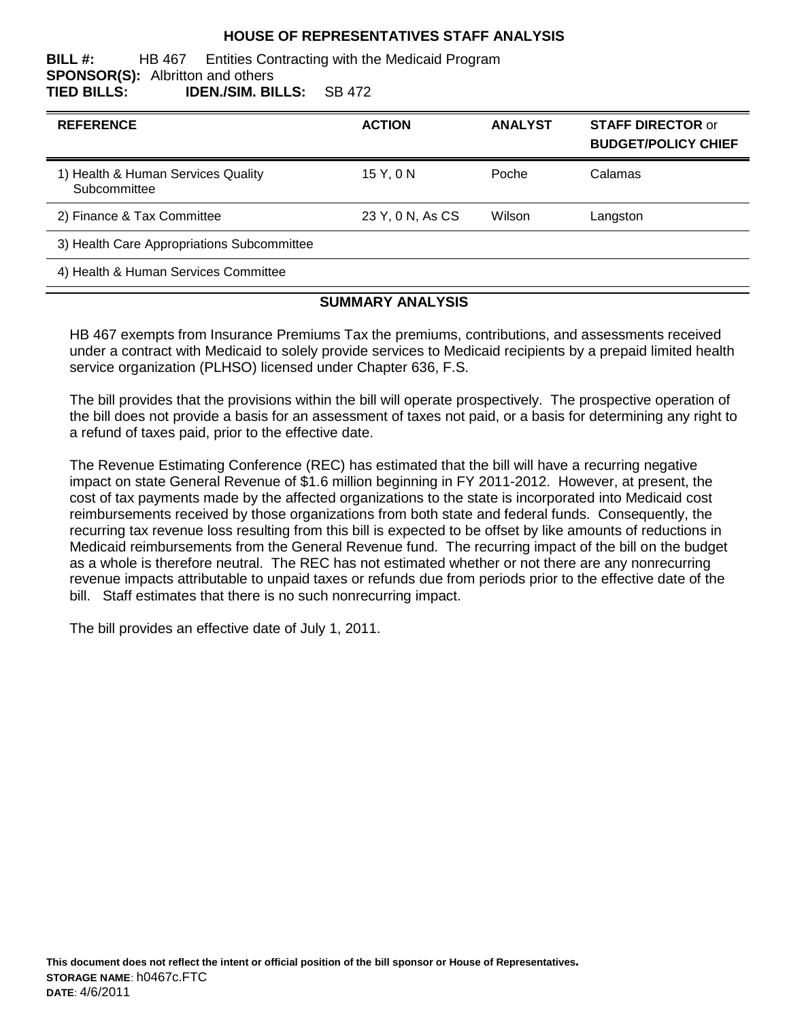### **HOUSE OF REPRESENTATIVES STAFF ANALYSIS**

#### **BILL #:** HB 467 Entities Contracting with the Medicaid Program **SPONSOR(S):** Albritton and others **TIED BILLS: IDEN./SIM. BILLS:** SB 472

| <b>REFERENCE</b>                                   | <b>ACTION</b>    | <b>ANALYST</b> | <b>STAFF DIRECTOR or</b><br><b>BUDGET/POLICY CHIEF</b> |
|----------------------------------------------------|------------------|----------------|--------------------------------------------------------|
| 1) Health & Human Services Quality<br>Subcommittee | 15 Y, 0 N        | Poche          | Calamas                                                |
| 2) Finance & Tax Committee                         | 23 Y, 0 N, As CS | Wilson         | Langston                                               |
| 3) Health Care Appropriations Subcommittee         |                  |                |                                                        |

4) Health & Human Services Committee

#### **SUMMARY ANALYSIS**

HB 467 exempts from Insurance Premiums Tax the premiums, contributions, and assessments received under a contract with Medicaid to solely provide services to Medicaid recipients by a prepaid limited health service organization (PLHSO) licensed under Chapter 636, F.S.

The bill provides that the provisions within the bill will operate prospectively. The prospective operation of the bill does not provide a basis for an assessment of taxes not paid, or a basis for determining any right to a refund of taxes paid, prior to the effective date.

The Revenue Estimating Conference (REC) has estimated that the bill will have a recurring negative impact on state General Revenue of \$1.6 million beginning in FY 2011-2012. However, at present, the cost of tax payments made by the affected organizations to the state is incorporated into Medicaid cost reimbursements received by those organizations from both state and federal funds. Consequently, the recurring tax revenue loss resulting from this bill is expected to be offset by like amounts of reductions in Medicaid reimbursements from the General Revenue fund. The recurring impact of the bill on the budget as a whole is therefore neutral. The REC has not estimated whether or not there are any nonrecurring revenue impacts attributable to unpaid taxes or refunds due from periods prior to the effective date of the bill. Staff estimates that there is no such nonrecurring impact.

The bill provides an effective date of July 1, 2011.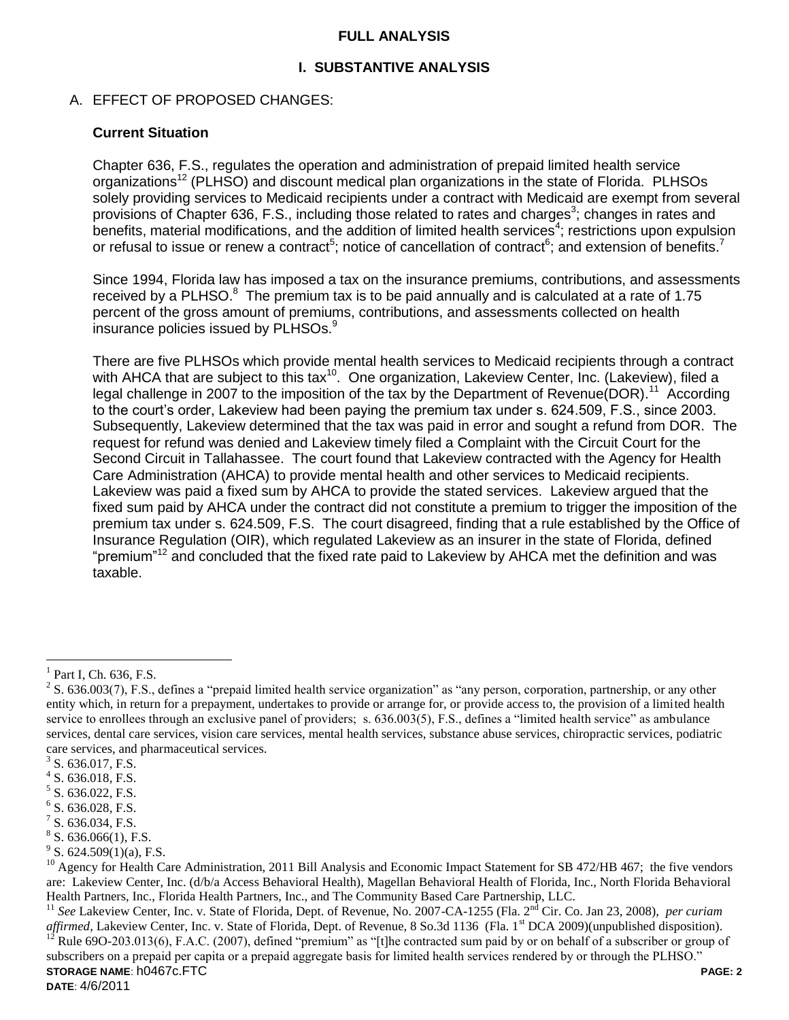### **FULL ANALYSIS**

### **I. SUBSTANTIVE ANALYSIS**

### A. EFFECT OF PROPOSED CHANGES:

#### **Current Situation**

Chapter 636, F.S., regulates the operation and administration of prepaid limited health service organizations<sup>12</sup> (PLHSO) and discount medical plan organizations in the state of Florida. PLHSOs solely providing services to Medicaid recipients under a contract with Medicaid are exempt from several provisions of Chapter 636, F.S., including those related to rates and charges<sup>3</sup>; changes in rates and benefits, material modifications, and the addition of limited health services<sup>4</sup>; restrictions upon expulsion or refusal to issue or renew a contract<sup>5</sup>; notice of cancellation of contract<sup>6</sup>; and extension of benefits.<sup>7</sup>

Since 1994, Florida law has imposed a tax on the insurance premiums, contributions, and assessments received by a PLHSO. $8$  The premium tax is to be paid annually and is calculated at a rate of 1.75 percent of the gross amount of premiums, contributions, and assessments collected on health insurance policies issued by PLHSOs.<sup>9</sup>

There are five PLHSOs which provide mental health services to Medicaid recipients through a contract with AHCA that are subject to this tax<sup>10</sup>. One organization, Lakeview Center, Inc. (Lakeview), filed a legal challenge in 2007 to the imposition of the tax by the Department of Revenue(DOR).<sup>11</sup> According to the court's order, Lakeview had been paying the premium tax under s. 624.509, F.S., since 2003. Subsequently, Lakeview determined that the tax was paid in error and sought a refund from DOR. The request for refund was denied and Lakeview timely filed a Complaint with the Circuit Court for the Second Circuit in Tallahassee. The court found that Lakeview contracted with the Agency for Health Care Administration (AHCA) to provide mental health and other services to Medicaid recipients. Lakeview was paid a fixed sum by AHCA to provide the stated services. Lakeview argued that the fixed sum paid by AHCA under the contract did not constitute a premium to trigger the imposition of the premium tax under s. 624.509, F.S. The court disagreed, finding that a rule established by the Office of Insurance Regulation (OIR), which regulated Lakeview as an insurer in the state of Florida, defined "premium"<sup>12</sup> and concluded that the fixed rate paid to Lakeview by AHCA met the definition and was taxable.

 $\overline{a}$ 

**STORAGE NAME**: h0467c.FTC **PAGE: 2** <sup>11</sup> See Lakeview Center, Inc. v. State of Florida, Dept. of Revenue, No. 2007-CA-1255 (Fla. 2<sup>nd</sup> Cir. Co. Jan 23, 2008), *per curiam affirmed*, Lakeview Center, Inc. v. State of Florida, Dept. of Revenue, 8 So.3d 1136 (Fla. 1<sup>st</sup> DCA 2009)(unpublished disposition). Rule 69O-203.013(6), F.A.C. (2007), defined "premium" as "[t]he contracted sum paid by or on behalf of a subscriber or group of subscribers on a prepaid per capita or a prepaid aggregate basis for limited health services rendered by or through the PLHSO."

 $<sup>1</sup>$  Part I, Ch. 636, F.S.</sup>

 $2^2$  S. 636.003(7), F.S., defines a "prepaid limited health service organization" as "any person, corporation, partnership, or any other entity which, in return for a prepayment, undertakes to provide or arrange for, or provide access to, the provision of a limited health service to enrollees through an exclusive panel of providers; s. 636.003(5), F.S., defines a "limited health service" as ambulance services, dental care services, vision care services, mental health services, substance abuse services, chiropractic services, podiatric care services, and pharmaceutical services.

 $3$  S. 636.017, F.S.

 $4$  S. 636.018, F.S.

<sup>&</sup>lt;sup>5</sup> S. 636.022, F.S.

 $6$  S. 636.028, F.S.

 $7$  S. 636.034, F.S.

 $8$  S. 636.066(1), F.S.

 $9^9$  S. 624.509(1)(a), F.S.

 $^{10}$  Agency for Health Care Administration, 2011 Bill Analysis and Economic Impact Statement for SB 472/HB 467; the five vendors are: Lakeview Center, Inc. (d/b/a Access Behavioral Health), Magellan Behavioral Health of Florida, Inc., North Florida Behavioral Health Partners, Inc., Florida Health Partners, Inc., and The Community Based Care Partnership, LLC.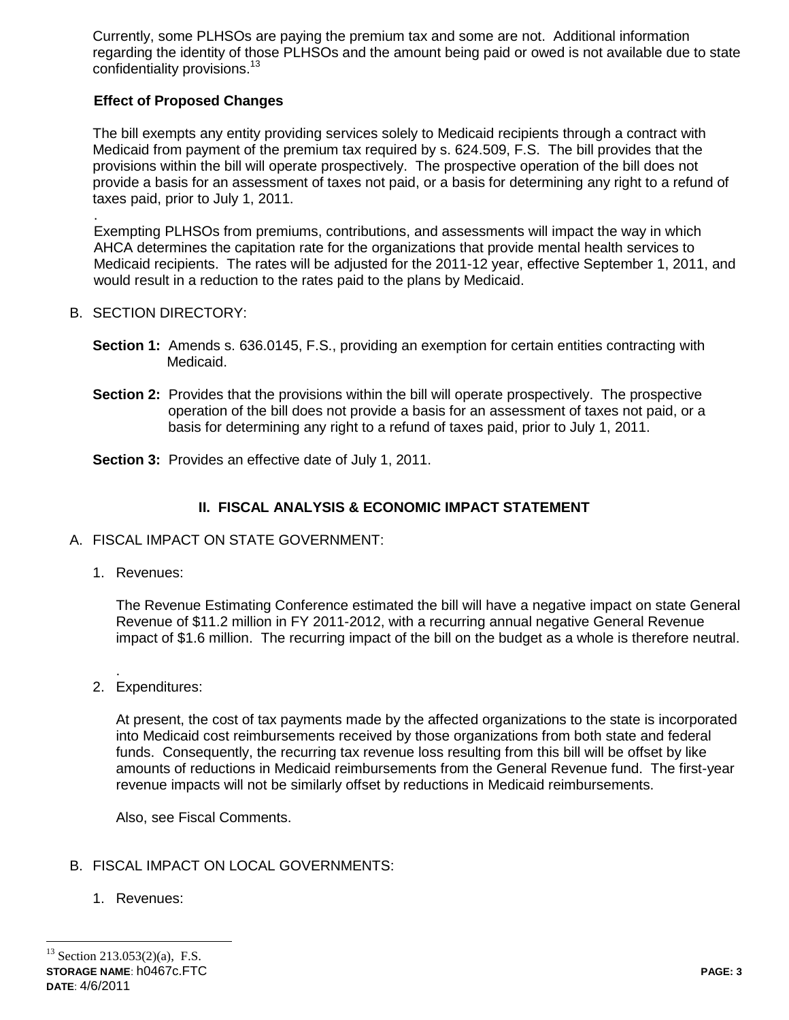Currently, some PLHSOs are paying the premium tax and some are not. Additional information regarding the identity of those PLHSOs and the amount being paid or owed is not available due to state confidentiality provisions.<sup>13</sup>

## **Effect of Proposed Changes**

The bill exempts any entity providing services solely to Medicaid recipients through a contract with Medicaid from payment of the premium tax required by s. 624.509, F.S. The bill provides that the provisions within the bill will operate prospectively. The prospective operation of the bill does not provide a basis for an assessment of taxes not paid, or a basis for determining any right to a refund of taxes paid, prior to July 1, 2011.

Exempting PLHSOs from premiums, contributions, and assessments will impact the way in which AHCA determines the capitation rate for the organizations that provide mental health services to Medicaid recipients. The rates will be adjusted for the 2011-12 year, effective September 1, 2011, and would result in a reduction to the rates paid to the plans by Medicaid.

### B. SECTION DIRECTORY:

.

- **Section 1:** Amends s. 636.0145, F.S., providing an exemption for certain entities contracting with Medicaid.
- **Section 2:** Provides that the provisions within the bill will operate prospectively. The prospective operation of the bill does not provide a basis for an assessment of taxes not paid, or a basis for determining any right to a refund of taxes paid, prior to July 1, 2011.
- **Section 3:** Provides an effective date of July 1, 2011.

# **II. FISCAL ANALYSIS & ECONOMIC IMPACT STATEMENT**

- A. FISCAL IMPACT ON STATE GOVERNMENT:
	- 1. Revenues:

The Revenue Estimating Conference estimated the bill will have a negative impact on state General Revenue of \$11.2 million in FY 2011-2012, with a recurring annual negative General Revenue impact of \$1.6 million. The recurring impact of the bill on the budget as a whole is therefore neutral.

. 2. Expenditures:

> At present, the cost of tax payments made by the affected organizations to the state is incorporated into Medicaid cost reimbursements received by those organizations from both state and federal funds. Consequently, the recurring tax revenue loss resulting from this bill will be offset by like amounts of reductions in Medicaid reimbursements from the General Revenue fund. The first-year revenue impacts will not be similarly offset by reductions in Medicaid reimbursements.

Also, see Fiscal Comments.

## B. FISCAL IMPACT ON LOCAL GOVERNMENTS:

1. Revenues:

**STORAGE NAME**: h0467c.FTC **PAGE: 3 DATE**: 4/6/2011  $\overline{a}$  $13$  Section 213.053(2)(a), F.S.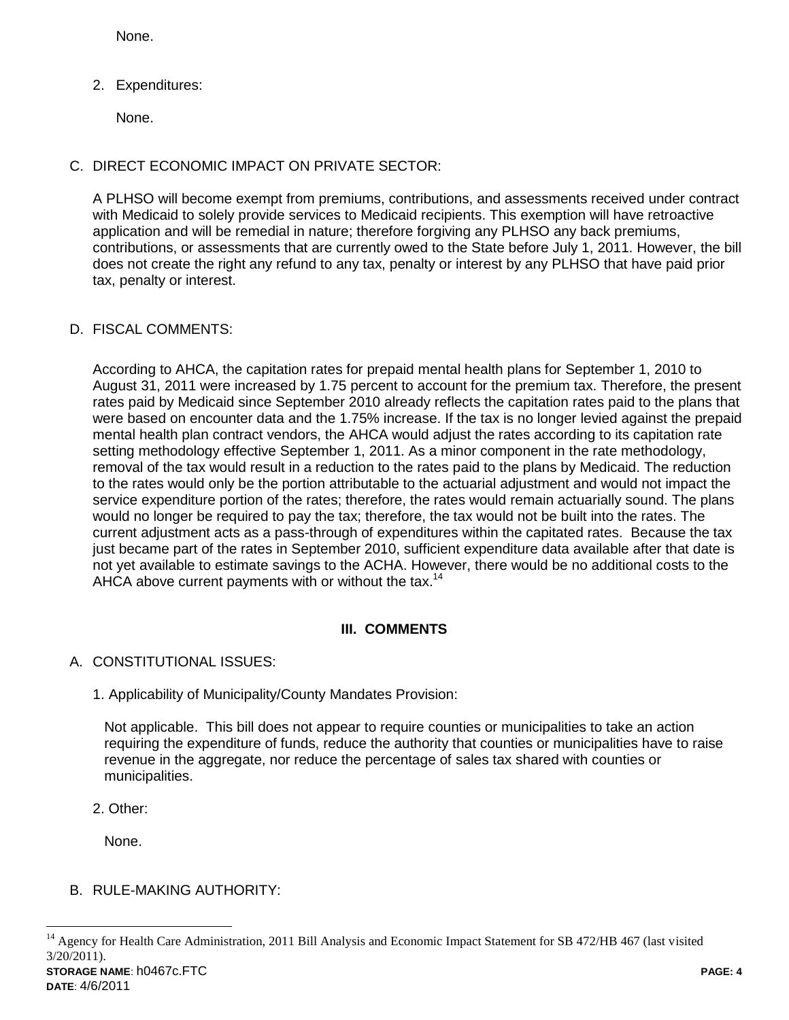None.

2. Expenditures:

None.

## C. DIRECT ECONOMIC IMPACT ON PRIVATE SECTOR:

A PLHSO will become exempt from premiums, contributions, and assessments received under contract with Medicaid to solely provide services to Medicaid recipients. This exemption will have retroactive application and will be remedial in nature; therefore forgiving any PLHSO any back premiums, contributions, or assessments that are currently owed to the State before July 1, 2011. However, the bill does not create the right any refund to any tax, penalty or interest by any PLHSO that have paid prior tax, penalty or interest.

### D. FISCAL COMMENTS:

According to AHCA, the capitation rates for prepaid mental health plans for September 1, 2010 to August 31, 2011 were increased by 1.75 percent to account for the premium tax. Therefore, the present rates paid by Medicaid since September 2010 already reflects the capitation rates paid to the plans that were based on encounter data and the 1.75% increase. If the tax is no longer levied against the prepaid mental health plan contract vendors, the AHCA would adjust the rates according to its capitation rate setting methodology effective September 1, 2011. As a minor component in the rate methodology, removal of the tax would result in a reduction to the rates paid to the plans by Medicaid. The reduction to the rates would only be the portion attributable to the actuarial adjustment and would not impact the service expenditure portion of the rates; therefore, the rates would remain actuarially sound. The plans would no longer be required to pay the tax; therefore, the tax would not be built into the rates. The current adjustment acts as a pass-through of expenditures within the capitated rates. Because the tax just became part of the rates in September 2010, sufficient expenditure data available after that date is not yet available to estimate savings to the ACHA. However, there would be no additional costs to the AHCA above current payments with or without the tax.<sup>14</sup>

### **III. COMMENTS**

### A. CONSTITUTIONAL ISSUES:

1. Applicability of Municipality/County Mandates Provision:

Not applicable. This bill does not appear to require counties or municipalities to take an action requiring the expenditure of funds, reduce the authority that counties or municipalities have to raise revenue in the aggregate, nor reduce the percentage of sales tax shared with counties or municipalities.

2. Other:

None.

## B. RULE-MAKING AUTHORITY:

**DATE**: 4/6/2011

 $\overline{a}$ 

**STORAGE NAME**: h0467c.FTC **PAGE: 4** <sup>14</sup> Agency for Health Care Administration, 2011 Bill Analysis and Economic Impact Statement for SB 472/HB 467 (last visited 3/20/2011).